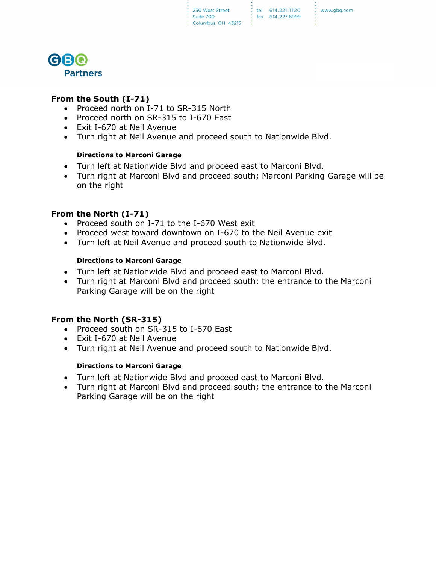

## **From the South (I-71)**

- Proceed north on I-71 to SR-315 North
- Proceed north on SR-315 to I-670 East
- Exit I-670 at Neil Avenue
- Turn right at Neil Avenue and proceed south to Nationwide Blvd.

#### **Directions to Marconi Garage**

- Turn left at Nationwide Blvd and proceed east to Marconi Blvd.
- Turn right at Marconi Blvd and proceed south; Marconi Parking Garage will be on the right

# **From the North (I-71)**

- Proceed south on I-71 to the I-670 West exit
- Proceed west toward downtown on I-670 to the Neil Avenue exit
- Turn left at Neil Avenue and proceed south to Nationwide Blvd.

## **Directions to Marconi Garage**

- Turn left at Nationwide Blvd and proceed east to Marconi Blvd.
- Turn right at Marconi Blvd and proceed south; the entrance to the Marconi Parking Garage will be on the right

## **From the North (SR-315)**

- Proceed south on SR-315 to I-670 East
- Exit I-670 at Neil Avenue
- Turn right at Neil Avenue and proceed south to Nationwide Blvd.

## **Directions to Marconi Garage**

- Turn left at Nationwide Blvd and proceed east to Marconi Blvd.
- Turn right at Marconi Blvd and proceed south; the entrance to the Marconi Parking Garage will be on the right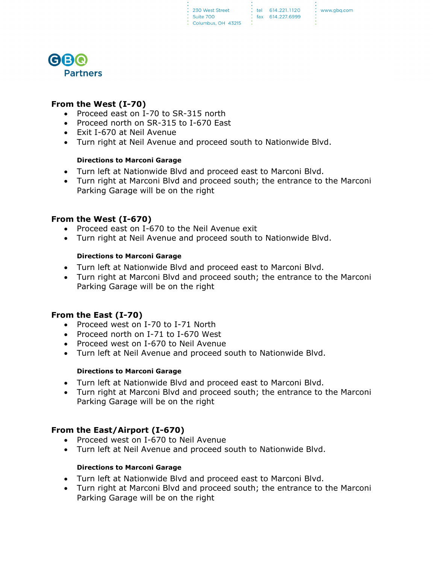: tel 614.221.1120 : fax 614.227.6999 www.gbg.com



## **From the West (I-70)**

- Proceed east on I-70 to SR-315 north
- Proceed north on SR-315 to I-670 East
- Exit I-670 at Neil Avenue
- Turn right at Neil Avenue and proceed south to Nationwide Blvd.

#### **Directions to Marconi Garage**

- Turn left at Nationwide Blvd and proceed east to Marconi Blvd.
- Turn right at Marconi Blvd and proceed south; the entrance to the Marconi Parking Garage will be on the right

## **From the West (I-670)**

- Proceed east on I-670 to the Neil Avenue exit
- Turn right at Neil Avenue and proceed south to Nationwide Blvd.

## **Directions to Marconi Garage**

- Turn left at Nationwide Blvd and proceed east to Marconi Blvd.
- Turn right at Marconi Blvd and proceed south; the entrance to the Marconi Parking Garage will be on the right

## **From the East (I-70)**

- Proceed west on I-70 to I-71 North
- Proceed north on I-71 to I-670 West
- Proceed west on I-670 to Neil Avenue
- Turn left at Neil Avenue and proceed south to Nationwide Blvd.

#### **Directions to Marconi Garage**

- Turn left at Nationwide Blvd and proceed east to Marconi Blvd.
- Turn right at Marconi Blvd and proceed south; the entrance to the Marconi Parking Garage will be on the right

# **From the East/Airport (I-670)**

- Proceed west on I-670 to Neil Avenue
- Turn left at Neil Avenue and proceed south to Nationwide Blvd.

#### **Directions to Marconi Garage**

- Turn left at Nationwide Blvd and proceed east to Marconi Blvd.
- Turn right at Marconi Blvd and proceed south; the entrance to the Marconi Parking Garage will be on the right